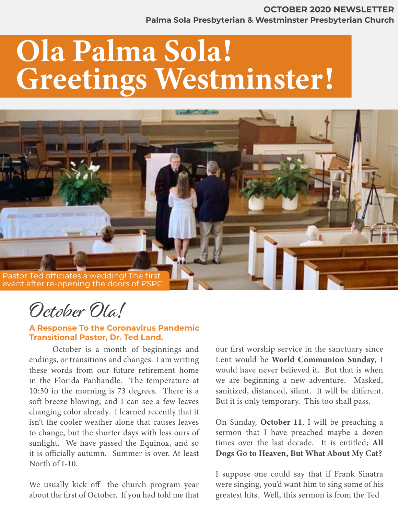#### January 2020 - Green Concept Page 1 **Palma Sola Presbyterian & Westminster Presbyterian Church OCTOBER 2020 NEWSLETTER**

# Ola Palma Sola! Greetings Westminster!



October Ola!

#### **A Response To the Coronavirus Pandemic Transitional Pastor, Dr. Ted Land.**

October is a month of beginnings and endings, or transitions and changes. I am writing these words from our future retirement home in the Florida Panhandle. The temperature at 10:30 in the morning is 73 degrees. There is a soft breeze blowing, and I can see a few leaves changing color already. I learned recently that it isn't the cooler weather alone that causes leaves to change, but the shorter days with less ours of sunlight. We have passed the Equinox, and so it is officially autumn. Summer is over. At least North of I-10.

We usually kick off the church program year about the first of October. If you had told me that

our first worship service in the sanctuary since Lent would be World Communion Sunday, I would have never believed it. But that is when we are beginning a new adventure. Masked, sanitized, distanced, silent. It will be different. But it is only temporary. This too shall pass.

On Sunday, October 11, I will be preaching a sermon that I have preached maybe a dozen times over the last decade. It is entitled; All Dogs Go to Heaven, But What About My Cat?

I suppose one could say that if Frank Sinatra were singing, you'd want him to sing some of his greatest hits. Well, this sermon is from the Ted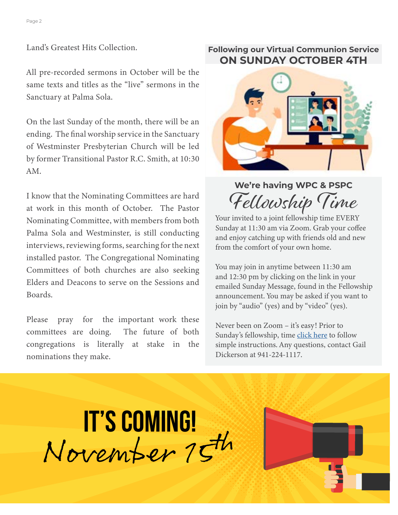Land's Greatest Hits Collection.

All pre-recorded sermons in October will be the same texts and titles as the "live" sermons in the Sanctuary at Palma Sola.

On the last Sunday of the month, there will be an ending. The final worship service in the Sanctuary of Westminster Presbyterian Church will be led by former Transitional Pastor R.C. Smith, at 10:30 AM.

I know that the Nominating Committees are hard at work in this month of October. The Pastor Nominating Committee, with members from both Palma Sola and Westminster, is still conducting interviews, reviewing forms, searching for the next installed pastor. The Congregational Nominating Committees of both churches are also seeking Elders and Deacons to serve on the Sessions and Boards.

Please pray for the important work these committees are doing. The future of both congregations is literally at stake in the nominations they make.

#### **Following our Virtual Communion Service ON SUNDAY OCTOBER 4TH**



# **We're having WPC & PSPC**  Fellowship Time

Your invited to a joint fellowship time EVERY Sunday at 11:30 am via Zoom. Grab your coffee and enjoy catching up with friends old and new from the comfort of your own home.

You may join in anytime between 11:30 am and 12:30 pm by clicking on the link in your emailed Sunday Message, found in the Fellowship announcement. You may be asked if you want to join by "audio" (yes) and by "video" (yes).

Never been on Zoom – it's easy! Prior to Sunday's fellowship, time [click here](https://www.pspchurch.org/pro/responsive/tools/includes/events/event_view.cfm?detailid=277517&event_type=main&memberid=2532&eventid=2168404&categoryid=) to follow simple instructions. Any questions, contact Gail Dickerson at 941-224-1117.



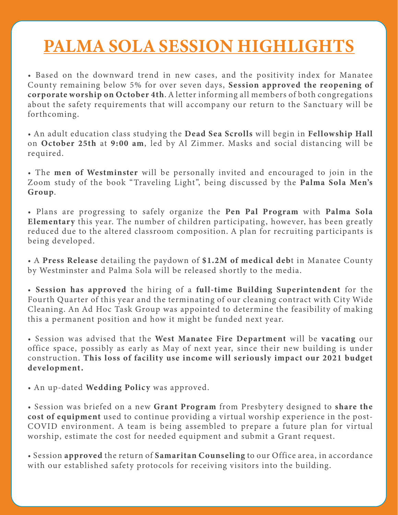# PALMA SOLA SESSION HIGHLIGHTS

 $\overline{\mathcal{L}}$  January 2020 - Green Concept Page 300  $\overline{\mathcal{L}}$  Page 300  $\overline{\mathcal{L}}$ 

• Based on the downward trend in new cases, and the positivity index for Manatee County remaining below 5% for over seven days, Session approved the reopening of corporate worship on October 4th. A letter informing all members of both congregations about the safety requirements that will accompany our return to the Sanctuary will be forthcoming.

• An adult education class studying the Dead Sea Scrolls will begin in Fellowship Hall on October 25th at 9:00 am, led by Al Zimmer. Masks and social distancing will be required.

• The men of Westminster will be personally invited and encouraged to join in the Zoom study of the book "Traveling Light", being discussed by the Palma Sola Men's Group.

• Plans are progressing to safely organize the Pen Pal Program with Palma Sola Elementary this year. The number of children participating, however, has been greatly reduced due to the altered classroom composition. A plan for recruiting participants is being developed.

• A Press Release detailing the paydown of \$1.2M of medical debt in Manatee County by Westminster and Palma Sola will be released shortly to the media.

• Session has approved the hiring of a full-time Building Superintendent for the Fourth Quarter of this year and the terminating of our cleaning contract with City Wide Cleaning. An Ad Hoc Task Group was appointed to determine the feasibility of making this a permanent position and how it might be funded next year.

• Session was advised that the West Manatee Fire Department will be vacating our office space, possibly as early as May of next year, since their new building is under construction. This loss of facility use income will seriously impact our 2021 budget development.

• An up-dated Wedding Policy was approved.

• Session was briefed on a new Grant Program from Presbytery designed to share the cost of equipment used to continue providing a virtual worship experience in the post-COVID environment. A team is being assembled to prepare a future plan for virtual worship, estimate the cost for needed equipment and submit a Grant request.

• Session approved the return of Samaritan Counseling to our Office area, in accordance with our established safety protocols for receiving visitors into the building.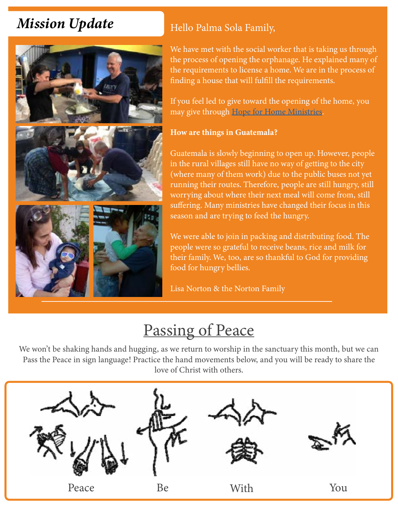# *Mission Update*



### Hello Palma Sola Family,

We have met with the social worker that is taking us through the process of opening the orphanage. He explained many of the requirements to license a home. We are in the process of finding a house that will fulfill the requirements.

If you feel led to give toward the opening of the home, you may give through [Hope for Home Ministries.](https://hopeforhome.org/donate.html)

#### How are things in Guatemala?

Guatemala is slowly beginning to open up. However, people in the rural villages still have no way of getting to the city (where many of them work) due to the public buses not yet running their routes. Therefore, people are still hungry, still worrying about where their next meal will come from, still suffering. Many ministries have changed their focus in this season and are trying to feed the hungry.

We were able to join in packing and distributing food. The people were so grateful to receive beans, rice and milk for their family. We, too, are so thankful to God for providing food for hungry bellies.

Lisa Norton & the Norton Family

# Passing of Peace

We won't be shaking hands and hugging, as we return to worship in the sanctuary this month, but we can Pass the Peace in sign language! Practice the hand movements below, and you will be ready to share the love of Christ with others.

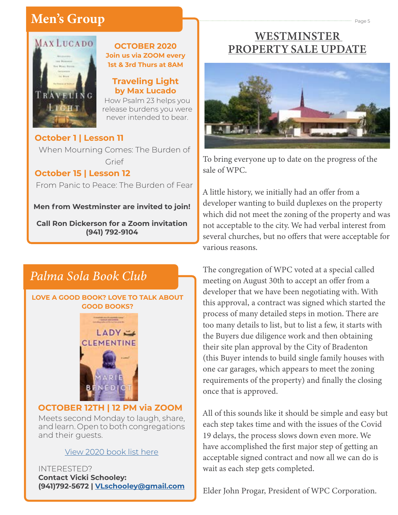# Men's Group and Concept Page 5 and Concept Page 5 and Concept Page 5 and Concept Page 5



#### **OCTOBER 2020 Join us via ZOOM every 1st & 3rd Thurs at 8AM**

#### **Traveling Light by Max Lucado**

How Psalm 23 helps you release burdens you were never intended to bear.

#### **October 1 | Lesson 11**

When Mourning Comes: The Burden of Grief

#### **October 15 | Lesson 12**

From Panic to Peace: The Burden of Fear

**Men from Westminster are invited to join!**

**Call Ron Dickerson for a Zoom invitation (941) 792-9104**

### *Palma Sola Book Club*

#### **LOVE A GOOD BOOK? LOVE TO TALK ABOUT GOOD BOOKS?**



#### **OCTOBER 12TH | 12 PM via ZOOM**

Meets second Monday to laugh, share, and learn. Open to both congregations and their guests.

#### [View 2020 book list here](https://www.pspchurch.org/editoruploads/files/Other/Palma_Sola_Book_Club_2020_List.pdf)

INTERESTED? **Contact Vicki Schooley: (941)792-5672 | V[Lschooley@gmail.com](mailto:vlschooley%40gmail.com?subject=)**

### WESTMINSTER PROPERTY SALE UPDATE



To bring everyone up to date on the progress of the sale of WPC.

A little history, we initially had an offer from a developer wanting to build duplexes on the property which did not meet the zoning of the property and was not acceptable to the city. We had verbal interest from several churches, but no offers that were acceptable for various reasons.

The congregation of WPC voted at a special called meeting on August 30th to accept an offer from a developer that we have been negotiating with. With this approval, a contract was signed which started the process of many detailed steps in motion. There are too many details to list, but to list a few, it starts with the Buyers due diligence work and then obtaining their site plan approval by the City of Bradenton (this Buyer intends to build single family houses with one car garages, which appears to meet the zoning requirements of the property) and finally the closing once that is approved.

All of this sounds like it should be simple and easy but each step takes time and with the issues of the Covid 19 delays, the process slows down even more. We have accomplished the first major step of getting an acceptable signed contract and now all we can do is wait as each step gets completed.

Elder John Progar, President of WPC Corporation.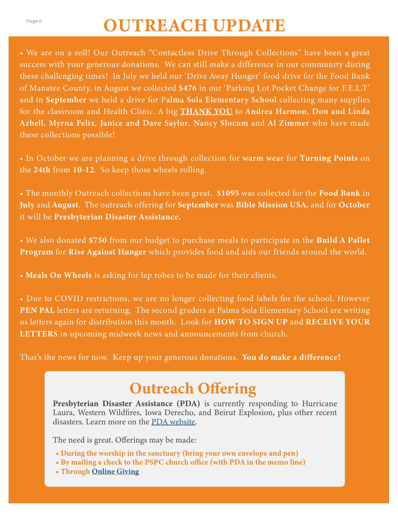# Page 6 **OUTREACH UPDATE**

• We are on a roll! Our Outreach "Contactless Drive Through Collections" have been a great success with your generous donations. We can still make a difference in our community during these challenging times! In July we held our 'Drive Away Hunger' food drive for the Food Bank of Manatee County, in August we collected \$476 in our 'Parking Lot Pocket Change for F.E.L.T' and in September we held a drive for Palma Sola Elementary School collecting many supplies for the classroom and Health Clinic. A big **THANK YOU** to Andrea Harmon, Don and Linda Azbell, Myrna Felix, Janice and Dave Saylor, Nancy Slocum and Al Zimmer who have made these collections possible!

• In October we are planning a drive through collection for warm wear for Turning Points on the 24th from 10-12. So keep those wheels rolling.

• The monthly Outreach collections have been great. \$1095 was collected for the Food Bank in July and August. The outreach offering for September was Bible Mission USA, and for October it will be Presbyterian Disaster Assistance.

• We also donated \$750 from our budget to purchase meals to participate in the Build A Pallet Program for Rise Against Hunger which provides food and aids our friends around the world.

• Meals On Wheels is asking for lap robes to be made for their clients.

• Due to COVID restrictions, we are no longer collecting food labels for the school. However PEN PAL letters are returning. The second graders at Palma Sola Elementary School are writing us letters again for distribution this month. Look for HOW TO SIGN UP and RECEIVE YOUR LETTERS in upcoming midweek news and announcements from church.

That's the news for now. Keep up your generous donations. You do make a difference!

# Outreach Offering

Presbyterian Disaster Assistance (PDA) is currently responding to Hurricane Laura, Western Wildfires, Iowa Derecho, and Beirut Explosion, plus other recent disasters. Learn more on the [PDA website](https://pda.pcusa.org/?fbclid=IwAR0BuILJqOT4vJLN73GiGZbr4amx6N3tSefwzrHOTeLyIVFlfHMtF67tqKY).

The need is great. Offerings may be made:

- During the worship in the sanctuary (bring your own envelope and pen)
- By mailing a check to the PSPC church office (with PDA in the memo line)
- Through [Online Giving](https://www.eservicepayments.com/cgi-bin/Vanco_ver3.vps?appver3=wWsk24ZWJSTZKsGd1RMKlg0BDvsSG3VIWQCPJNNxD8upkiY7JlDavDsozUE7KG0nFx2NSo8LdUKGuGuF396vbbaef7k6xZFbutKWY8R75FgiYnTg5dP4O6rpX5QvPEWlBhHDN59kLZFffwKfYERpQv90eMfaeUjLW_Qly1QvukM=&ver=3)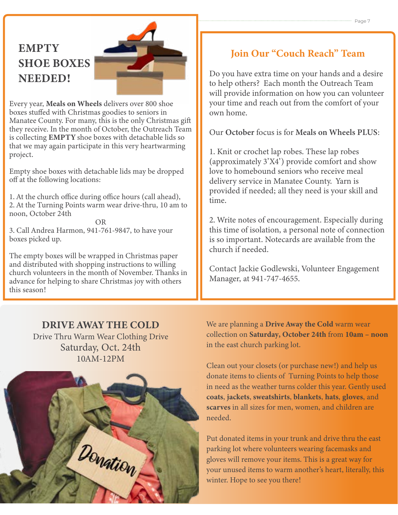### **EMPTY** SHOE BOXES NEEDED!



Every year, Meals on Wheels delivers over 800 shoe boxes stuffed with Christmas goodies to seniors in Manatee County. For many, this is the only Christmas gift they receive. In the month of October, the Outreach Team is collecting EMPTY shoe boxes with detachable lids so that we may again participate in this very heartwarming project.

Empty shoe boxes with detachable lids may be dropped off at the following locations:

1. At the church office during office hours (call ahead), 2. At the Turning Points warm wear drive-thru, 10 am to noon, October 24th

OR 3. Call Andrea Harmon, 941-761-9847, to have your boxes picked up.

The empty boxes will be wrapped in Christmas paper and distributed with shopping instructions to willing church volunteers in the month of November. Thanks in advance for helping to share Christmas joy with others this season!

#### DRIVE AWAY THE COLD

Drive Thru Warm Wear Clothing Drive Saturday, Oct. 24th 10AM-12PM



### Join Our "Couch Reach" Team

Do you have extra time on your hands and a desire to help others? Each month the Outreach Team will provide information on how you can volunteer your time and reach out from the comfort of your own home.

Our October focus is for Meals on Wheels PLUS:

1. Knit or crochet lap robes. These lap robes (approximately 3'X4') provide comfort and show love to homebound seniors who receive meal delivery service in Manatee County. Yarn is provided if needed; all they need is your skill and time.

2. Write notes of encouragement. Especially during this time of isolation, a personal note of connection is so important. Notecards are available from the church if needed.

Contact Jackie Godlewski, Volunteer Engagement Manager, at 941-747-4655.

We are planning a Drive Away the Cold warm wear collection on Saturday, October 24th from 10am – noon in the east church parking lot.

Clean out your closets (or purchase new!) and help us donate items to clients of Turning Points to help those in need as the weather turns colder this year. Gently used coats, jackets, sweatshirts, blankets, hats, gloves, and scarves in all sizes for men, women, and children are needed.

Put donated items in your trunk and drive thru the east parking lot where volunteers wearing facemasks and gloves will remove your items. This is a great way for your unused items to warm another's heart, literally, this winter. Hope to see you there!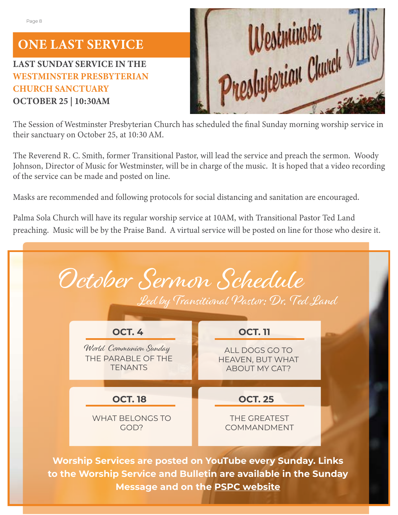# ONE LAST SERVICE

### LAST SUNDAY SERVICE IN THE WESTMINSTER PRESBYTERIAN CHURCH SANCTUARY OCTOBER 25 | 10:30AM



The Session of Westminster Presbyterian Church has scheduled the final Sunday morning worship service in their sanctuary on October 25, at 10:30 AM.

The Reverend R. C. Smith, former Transitional Pastor, will lead the service and preach the sermon. Woody Johnson, Director of Music for Westminster, will be in charge of the music. It is hoped that a video recording of the service can be made and posted on line.

Masks are recommended and following protocols for social distancing and sanitation are encouraged.

Palma Sola Church will have its regular worship service at 10AM, with Transitional Pastor Ted Land preaching. Music will be by the Praise Band. A virtual service will be posted on line for those who desire it.



**Message and on the [PSPC website](https://www.pspchurch.org/resources/worship_online.cfm)**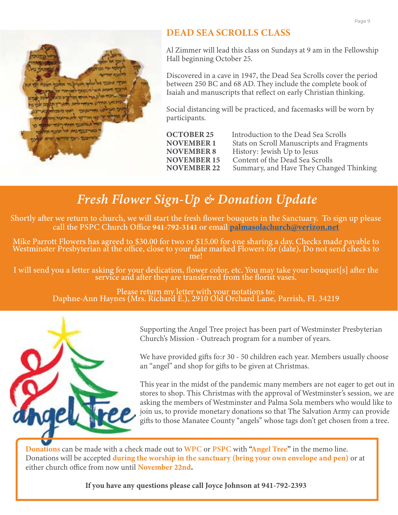

#### DEAD SEA SCROLLS CLASS

Al Zimmer will lead this class on Sundays at 9 am in the Fellowship Hall beginning October 25.

Discovered in a cave in 1947, the Dead Sea Scrolls cover the period between 250 BC and 68 AD. They include the complete book of Isaiah and manuscripts that reflect on early Christian thinking.

Social distancing will be practiced, and facemasks will be worn by participants.

| <b>OCTOBER 25</b>  | Introduction to the Dead Sea Scrolls      |
|--------------------|-------------------------------------------|
| <b>NOVEMBER 1</b>  | Stats on Scroll Manuscripts and Fragments |
| <b>NOVEMBER 8</b>  | History: Jewish Up to Jesus               |
| <b>NOVEMBER 15</b> | Content of the Dead Sea Scrolls           |
| <b>NOVEMBER 22</b> | Summary, and Have They Changed Thinking   |
|                    |                                           |

# *Fresh Flower Sign-Up & Donation Update*

Shortly after we return to church, we will start the fresh flower bouquets in the Sanctuary. To sign up please call the PSPC Church Office 941-792-3141 or email [palmasolachurch@verizon.net](mailto:palmasolachurch%40verizon.net%20?subject=)

Mike Parrott Flowers has agreed to \$30.00 for two or \$15.00 for one sharing a day. Checks made payable to Westminster Presbyterian at the office, close to your date marked Flowers for (date). Do not send checks to me!

I will send you a letter asking for your dedication, flower color, etc. You may take your bouquet[s] after the service and after they are transferred from the florist vases.

Please return my letter with your notations to: Daphne-Ann Haynes (Mrs. Richard E.), 2910 Old Orchard Lane, Parrish, FL 34219



Supporting the Angel Tree project has been part of Westminster Presbyterian Church's Mission - Outreach program for a number of years.

We have provided gifts fo:r 30 - 50 children each year. Members usually choose an "angel" and shop for gifts to be given at Christmas.

This year in the midst of the pandemic many members are not eager to get out in stores to shop. This Christmas with the approval of Westminster's session, we are asking the members of Westminster and Palma Sola members who would like to join us, to provide monetary donations so that The Salvation Army can provide gifts to those Manatee County "angels" whose tags don't get chosen from a tree.

Donations can be made with a check made out to WPC or PSPC with "Angel Tree" in the memo line. Donations will be accepted during the worship in the sanctuary (bring your own envelope and pen) or at either church office from now until November 22nd.

If you have any questions please call Joyce Johnson at 941-792-2393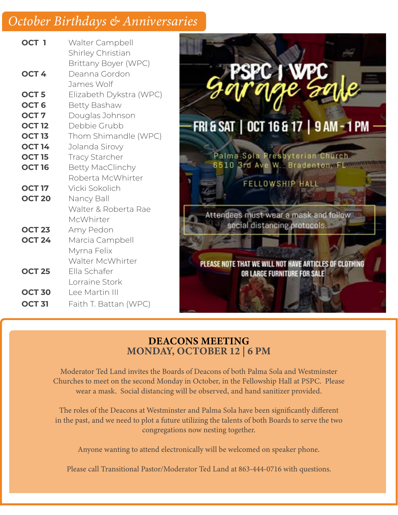### October Birthdays & Anniversaries

| OCT <sub>1</sub> | Walter Campbell<br>Shirley Christian<br><b>Brittany Boyer (WPC)</b> |
|------------------|---------------------------------------------------------------------|
| OCT <sub>4</sub> | Deanna Gordon<br>James Wolf                                         |
| OCT <sub>5</sub> | Elizabeth Dykstra (WPC)                                             |
| OCT <sub>6</sub> | Betty Bashaw                                                        |
| OCT <sub>7</sub> | Douglas Johnson                                                     |
| <b>OCT 12</b>    | Debbie Grubb                                                        |
| <b>OCT 13</b>    | Thom Shimandle (WPC)                                                |
| <b>OCT 14</b>    | Jolanda Sirovy                                                      |
| <b>OCT 15</b>    | <b>Tracy Starcher</b>                                               |
| <b>OCT 16</b>    | <b>Betty MacClinchy</b>                                             |
|                  | Roberta McWhirter                                                   |
| <b>OCT 17</b>    | Vicki Sokolich                                                      |
| <b>OCT 20</b>    | Nancy Ball                                                          |
|                  | Walter & Roberta Rae                                                |
|                  | McWhirter                                                           |
| <b>OCT 23</b>    | Amy Pedon                                                           |
| <b>OCT 24</b>    | Marcia Campbell                                                     |
|                  | Myrna Felix                                                         |
|                  | Walter McWhirter                                                    |
| <b>OCT 25</b>    | Ella Schafer                                                        |
|                  | Lorraine Stork                                                      |
| <b>OCT 30</b>    | Lee Martin III                                                      |
| <b>OCT 31</b>    | Faith T. Battan (WPC)                                               |
|                  |                                                                     |



#### DEACONS MEETING MONDAY, OCTOBER 12 | 6 PM

Moderator Ted Land invites the Boards of Deacons of both Palma Sola and Westminster Churches to meet on the second Monday in October, in the Fellowship Hall at PSPC. Please wear a mask. Social distancing will be observed, and hand sanitizer provided.

The roles of the Deacons at Westminster and Palma Sola have been significantly different in the past, and we need to plot a future utilizing the talents of both Boards to serve the two congregations now nesting together.

Anyone wanting to attend electronically will be welcomed on speaker phone.

Please call Transitional Pastor/Moderator Ted Land at 863-444-0716 with questions.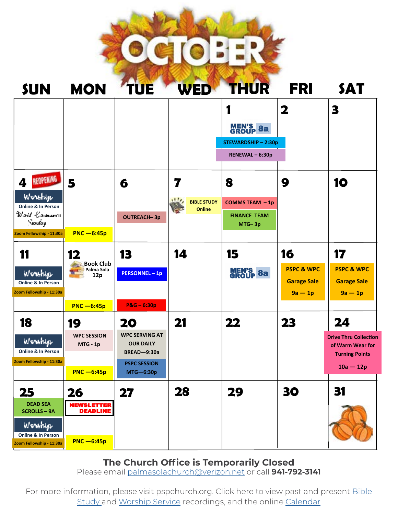

|                                                                                                                         |                                                              |                                                                                                             |                                                  | <b>MEN'S 8a</b><br><b>STEWARDSHIP-2:30p</b><br>RENEWAL-6:30p | 2                                                              | 3                                                                                              |
|-------------------------------------------------------------------------------------------------------------------------|--------------------------------------------------------------|-------------------------------------------------------------------------------------------------------------|--------------------------------------------------|--------------------------------------------------------------|----------------------------------------------------------------|------------------------------------------------------------------------------------------------|
| <b>REOPENING</b><br>4<br>Wonshige<br>Online & In Person<br>Wald Canadan I<br>$\sim$ routes.<br>Zoom Fellowship - 11:30a | 5<br>$PNC - 6:45p$                                           | 6<br><b>OUTREACH-3p</b>                                                                                     | 7<br>111/<br><b>BIBLE STUDY</b><br><b>Online</b> | 8<br><b>COMMS TEAM - 1p</b><br><b>FINANCE TEAM</b><br>MTG-3p | 9                                                              | 10                                                                                             |
| 11<br>Workhige<br><b>Online &amp; In Person</b><br>Zoom Fellowship - 11:30a                                             | 12<br><b>Book Club</b><br>Palma Sola<br>12p<br>$PNC - 6:45p$ | 13<br><b>PERSONNEL-1p</b><br>$P&G-6:30p$                                                                    | 14                                               | 15<br><b>MEN'S 8a</b>                                        | 16<br><b>PSPC &amp; WPC</b><br><b>Garage Sale</b><br>$9a - 1p$ | 17<br><b>PSPC &amp; WPC</b><br><b>Garage Sale</b><br>$9a - 1p$                                 |
| 18<br>Worehige<br>Online & In Person<br>Zoom Fellowship - 11:30a                                                        | 19<br><b>WPC SESSION</b><br>MTG - 1p<br>$PNC - 6:45p$        | 20<br><b>WPC SERVING AT</b><br><b>OUR DAILY</b><br><b>BREAD-9:30a</b><br><b>PSPC SESSION</b><br>$MTG-6:30p$ | 21                                               | 22                                                           | 23                                                             | 24<br><b>Drive Thru Collection</b><br>of Warm Wear for<br><b>Turning Points</b><br>$10a - 12p$ |
| 25<br><b>DEAD SEA</b><br><b>SCROLLS - 9A</b><br>Wonshige<br>Online & In Person<br>Zoom Fellowship - 11:30a              | 26<br><b>NEWSLETTER</b><br><b>DEADLINE</b><br>$PNC - 6:45p$  | 27                                                                                                          | 28                                               | 29                                                           | 30                                                             | 31                                                                                             |

#### **The Church Office is Temporarily Closed**

Please email [palmasolachurch@verizon.net](mailto:palmasolachurch%40verizon.net?subject=) or call **941-792-3141**

For more information, please visit pspchurch.org. Click here to view past and present **Bible** [Study](https://www.pspchurch.org/connect-grow/mid_week_current.cfm) and [Worship Service](https://www.pspchurch.org/resources/worship_online.cfm) recordings, and the online [Calendar](https://www.pspchurch.org/calendar/)